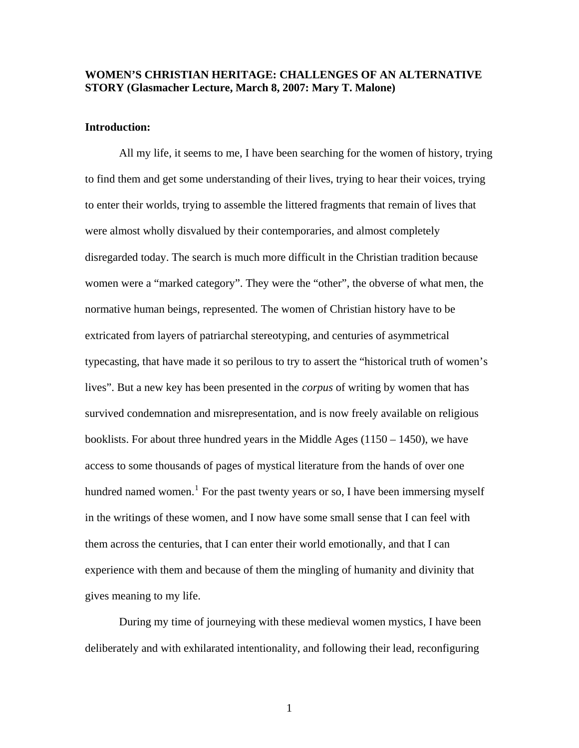# **WOMEN'S CHRISTIAN HERITAGE: CHALLENGES OF AN ALTERNATIVE STORY (Glasmacher Lecture, March 8, 2007: Mary T. Malone)**

## **Introduction:**

All my life, it seems to me, I have been searching for the women of history, trying to find them and get some understanding of their lives, trying to hear their voices, trying to enter their worlds, trying to assemble the littered fragments that remain of lives that were almost wholly disvalued by their contemporaries, and almost completely disregarded today. The search is much more difficult in the Christian tradition because women were a "marked category". They were the "other", the obverse of what men, the normative human beings, represented. The women of Christian history have to be extricated from layers of patriarchal stereotyping, and centuries of asymmetrical typecasting, that have made it so perilous to try to assert the "historical truth of women's lives". But a new key has been presented in the *corpus* of writing by women that has survived condemnation and misrepresentation, and is now freely available on religious booklists. For about three hundred years in the Middle Ages (1150 – 1450), we have access to some thousands of pages of mystical literature from the hands of over one hundred named women.<sup>[1](#page-22-0)</sup> For the past twenty years or so, I have been immersing myself in the writings of these women, and I now have some small sense that I can feel with them across the centuries, that I can enter their world emotionally, and that I can experience with them and because of them the mingling of humanity and divinity that gives meaning to my life.

 During my time of journeying with these medieval women mystics, I have been deliberately and with exhilarated intentionality, and following their lead, reconfiguring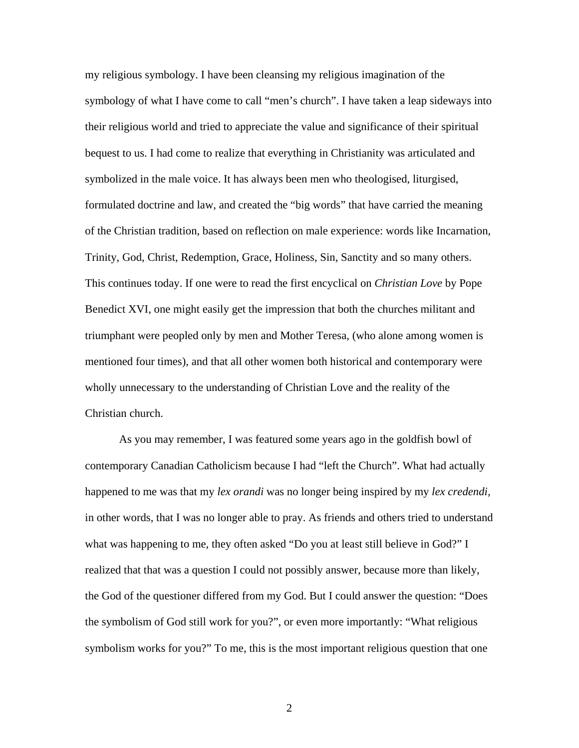my religious symbology. I have been cleansing my religious imagination of the symbology of what I have come to call "men's church". I have taken a leap sideways into their religious world and tried to appreciate the value and significance of their spiritual bequest to us. I had come to realize that everything in Christianity was articulated and symbolized in the male voice. It has always been men who theologised, liturgised, formulated doctrine and law, and created the "big words" that have carried the meaning of the Christian tradition, based on reflection on male experience: words like Incarnation, Trinity, God, Christ, Redemption, Grace, Holiness, Sin, Sanctity and so many others. This continues today. If one were to read the first encyclical on *Christian Love* by Pope Benedict XVI, one might easily get the impression that both the churches militant and triumphant were peopled only by men and Mother Teresa, (who alone among women is mentioned four times), and that all other women both historical and contemporary were wholly unnecessary to the understanding of Christian Love and the reality of the Christian church.

 As you may remember, I was featured some years ago in the goldfish bowl of contemporary Canadian Catholicism because I had "left the Church". What had actually happened to me was that my *lex orandi* was no longer being inspired by my *lex credendi,*  in other words, that I was no longer able to pray. As friends and others tried to understand what was happening to me, they often asked "Do you at least still believe in God?" I realized that that was a question I could not possibly answer, because more than likely, the God of the questioner differed from my God. But I could answer the question: "Does the symbolism of God still work for you?", or even more importantly: "What religious symbolism works for you?" To me, this is the most important religious question that one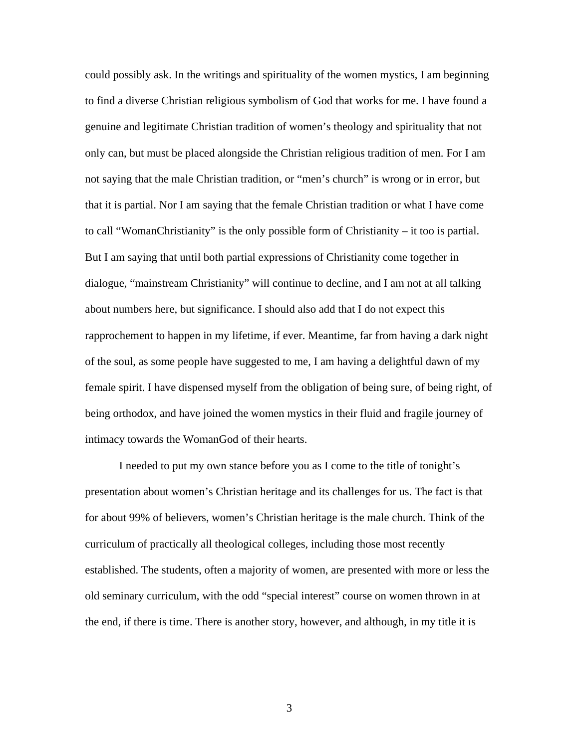could possibly ask. In the writings and spirituality of the women mystics, I am beginning to find a diverse Christian religious symbolism of God that works for me. I have found a genuine and legitimate Christian tradition of women's theology and spirituality that not only can, but must be placed alongside the Christian religious tradition of men. For I am not saying that the male Christian tradition, or "men's church" is wrong or in error, but that it is partial. Nor I am saying that the female Christian tradition or what I have come to call "WomanChristianity" is the only possible form of Christianity – it too is partial. But I am saying that until both partial expressions of Christianity come together in dialogue, "mainstream Christianity" will continue to decline, and I am not at all talking about numbers here, but significance. I should also add that I do not expect this rapprochement to happen in my lifetime, if ever. Meantime, far from having a dark night of the soul, as some people have suggested to me, I am having a delightful dawn of my female spirit. I have dispensed myself from the obligation of being sure, of being right, of being orthodox, and have joined the women mystics in their fluid and fragile journey of intimacy towards the WomanGod of their hearts.

 I needed to put my own stance before you as I come to the title of tonight's presentation about women's Christian heritage and its challenges for us. The fact is that for about 99% of believers, women's Christian heritage is the male church. Think of the curriculum of practically all theological colleges, including those most recently established. The students, often a majority of women, are presented with more or less the old seminary curriculum, with the odd "special interest" course on women thrown in at the end, if there is time. There is another story, however, and although, in my title it is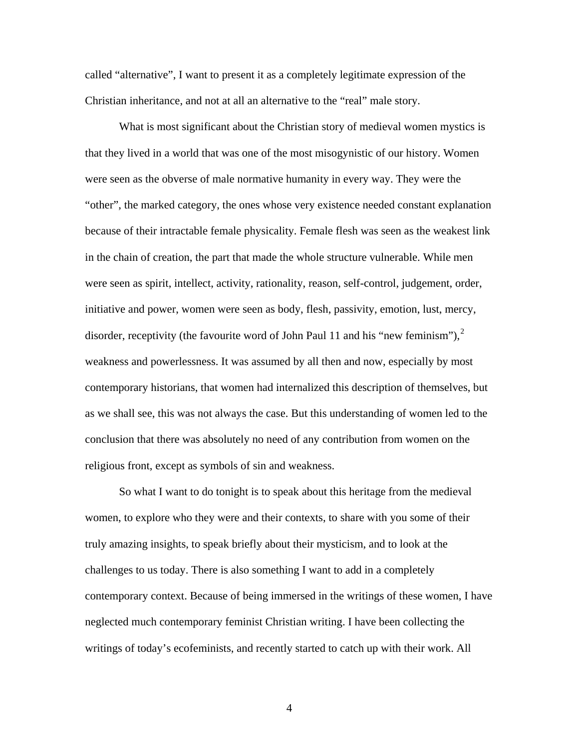called "alternative", I want to present it as a completely legitimate expression of the Christian inheritance, and not at all an alternative to the "real" male story.

 What is most significant about the Christian story of medieval women mystics is that they lived in a world that was one of the most misogynistic of our history. Women were seen as the obverse of male normative humanity in every way. They were the "other", the marked category, the ones whose very existence needed constant explanation because of their intractable female physicality. Female flesh was seen as the weakest link in the chain of creation, the part that made the whole structure vulnerable. While men were seen as spirit, intellect, activity, rationality, reason, self-control, judgement, order, initiative and power, women were seen as body, flesh, passivity, emotion, lust, mercy, disorder, receptivity (the favourite word of John Paul 11 and his "new feminism"),  $2^{\circ}$  $2^{\circ}$ weakness and powerlessness. It was assumed by all then and now, especially by most contemporary historians, that women had internalized this description of themselves, but as we shall see, this was not always the case. But this understanding of women led to the conclusion that there was absolutely no need of any contribution from women on the religious front, except as symbols of sin and weakness.

 So what I want to do tonight is to speak about this heritage from the medieval women, to explore who they were and their contexts, to share with you some of their truly amazing insights, to speak briefly about their mysticism, and to look at the challenges to us today. There is also something I want to add in a completely contemporary context. Because of being immersed in the writings of these women, I have neglected much contemporary feminist Christian writing. I have been collecting the writings of today's ecofeminists, and recently started to catch up with their work. All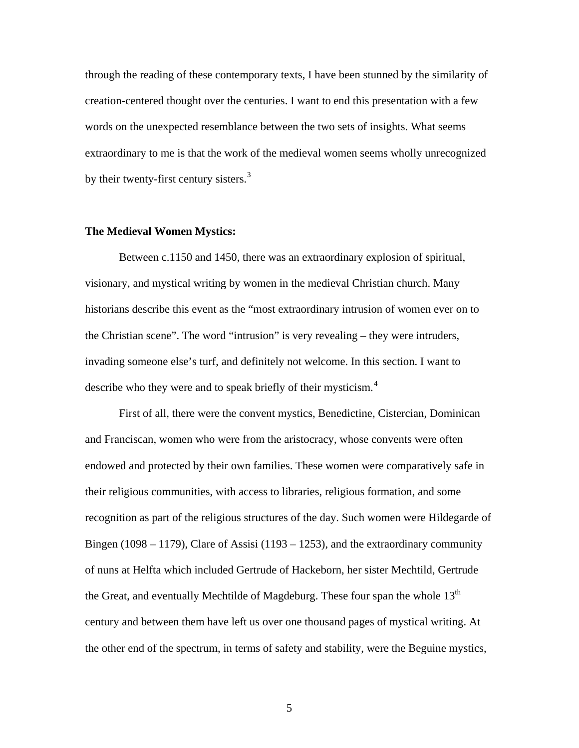through the reading of these contemporary texts, I have been stunned by the similarity of creation-centered thought over the centuries. I want to end this presentation with a few words on the unexpected resemblance between the two sets of insights. What seems extraordinary to me is that the work of the medieval women seems wholly unrecognized by their twenty-first century sisters.<sup>[3](#page-22-1)</sup>

## **The Medieval Women Mystics:**

 Between c.1150 and 1450, there was an extraordinary explosion of spiritual, visionary, and mystical writing by women in the medieval Christian church. Many historians describe this event as the "most extraordinary intrusion of women ever on to the Christian scene". The word "intrusion" is very revealing – they were intruders, invading someone else's turf, and definitely not welcome. In this section. I want to describe who they were and to speak briefly of their mysticism.<sup>[4](#page-22-1)</sup>

 First of all, there were the convent mystics, Benedictine, Cistercian, Dominican and Franciscan, women who were from the aristocracy, whose convents were often endowed and protected by their own families. These women were comparatively safe in their religious communities, with access to libraries, religious formation, and some recognition as part of the religious structures of the day. Such women were Hildegarde of Bingen (1098 – 1179), Clare of Assisi (1193 – 1253), and the extraordinary community of nuns at Helfta which included Gertrude of Hackeborn, her sister Mechtild, Gertrude the Great, and eventually Mechtilde of Magdeburg. These four span the whole  $13<sup>th</sup>$ century and between them have left us over one thousand pages of mystical writing. At the other end of the spectrum, in terms of safety and stability, were the Beguine mystics,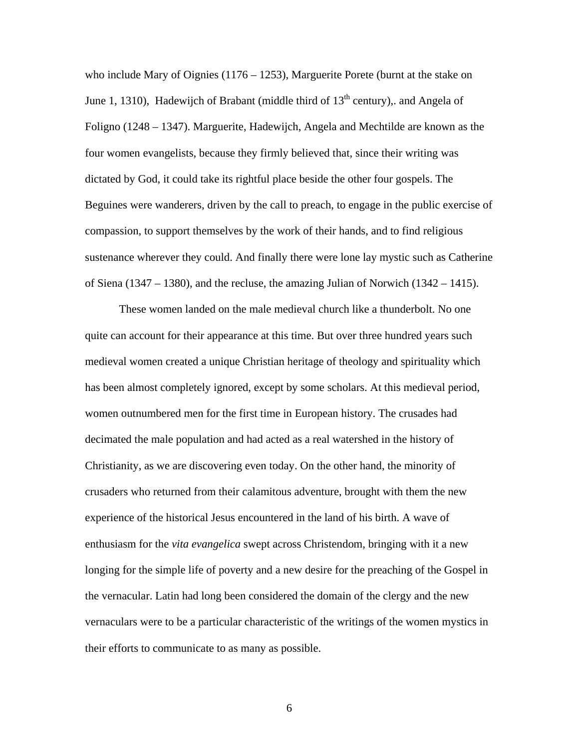who include Mary of Oignies  $(1176 - 1253)$ , Marguerite Porete (burnt at the stake on June 1, 1310), Hadewijch of Brabant (middle third of  $13<sup>th</sup>$  century), and Angela of Foligno (1248 – 1347). Marguerite, Hadewijch, Angela and Mechtilde are known as the four women evangelists, because they firmly believed that, since their writing was dictated by God, it could take its rightful place beside the other four gospels. The Beguines were wanderers, driven by the call to preach, to engage in the public exercise of compassion, to support themselves by the work of their hands, and to find religious sustenance wherever they could. And finally there were lone lay mystic such as Catherine of Siena (1347 – 1380), and the recluse, the amazing Julian of Norwich (1342 – 1415).

 These women landed on the male medieval church like a thunderbolt. No one quite can account for their appearance at this time. But over three hundred years such medieval women created a unique Christian heritage of theology and spirituality which has been almost completely ignored, except by some scholars. At this medieval period, women outnumbered men for the first time in European history. The crusades had decimated the male population and had acted as a real watershed in the history of Christianity, as we are discovering even today. On the other hand, the minority of crusaders who returned from their calamitous adventure, brought with them the new experience of the historical Jesus encountered in the land of his birth. A wave of enthusiasm for the *vita evangelica* swept across Christendom, bringing with it a new longing for the simple life of poverty and a new desire for the preaching of the Gospel in the vernacular. Latin had long been considered the domain of the clergy and the new vernaculars were to be a particular characteristic of the writings of the women mystics in their efforts to communicate to as many as possible.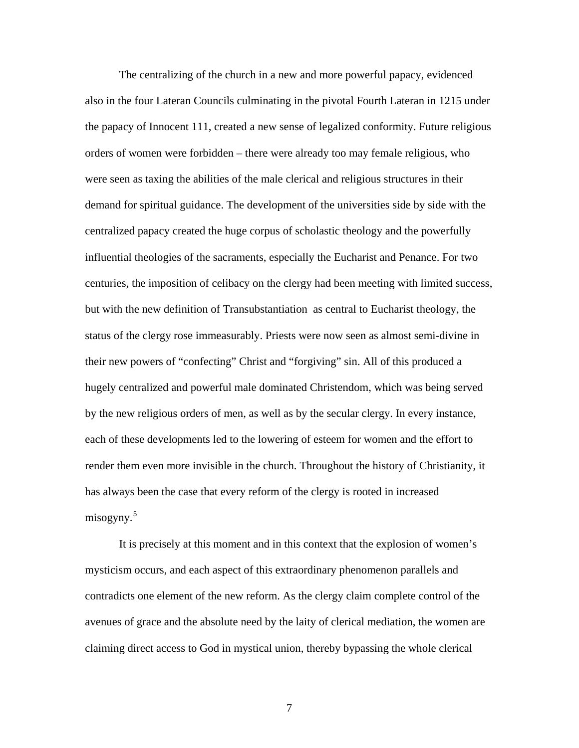The centralizing of the church in a new and more powerful papacy, evidenced also in the four Lateran Councils culminating in the pivotal Fourth Lateran in 1215 under the papacy of Innocent 111, created a new sense of legalized conformity. Future religious orders of women were forbidden – there were already too may female religious, who were seen as taxing the abilities of the male clerical and religious structures in their demand for spiritual guidance. The development of the universities side by side with the centralized papacy created the huge corpus of scholastic theology and the powerfully influential theologies of the sacraments, especially the Eucharist and Penance. For two centuries, the imposition of celibacy on the clergy had been meeting with limited success, but with the new definition of Transubstantiation as central to Eucharist theology, the status of the clergy rose immeasurably. Priests were now seen as almost semi-divine in their new powers of "confecting" Christ and "forgiving" sin. All of this produced a hugely centralized and powerful male dominated Christendom, which was being served by the new religious orders of men, as well as by the secular clergy. In every instance, each of these developments led to the lowering of esteem for women and the effort to render them even more invisible in the church. Throughout the history of Christianity, it has always been the case that every reform of the clergy is rooted in increased misogyny.<sup>[5](#page-22-1)</sup>

 It is precisely at this moment and in this context that the explosion of women's mysticism occurs, and each aspect of this extraordinary phenomenon parallels and contradicts one element of the new reform. As the clergy claim complete control of the avenues of grace and the absolute need by the laity of clerical mediation, the women are claiming direct access to God in mystical union, thereby bypassing the whole clerical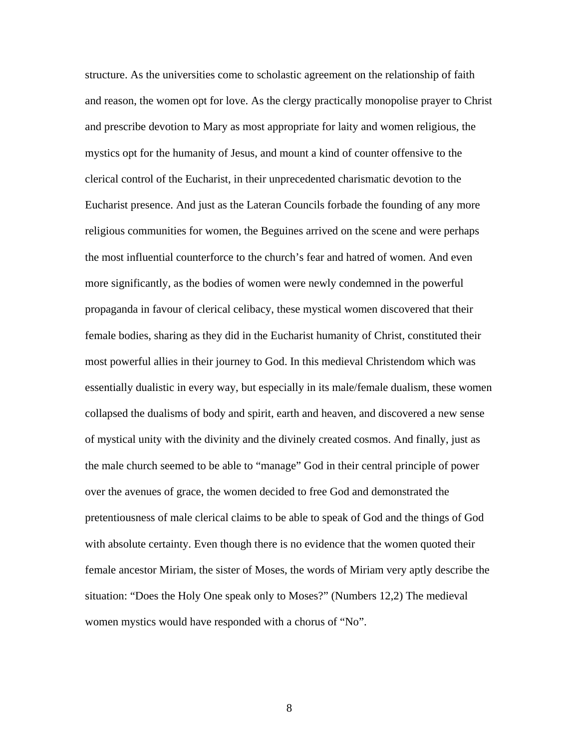structure. As the universities come to scholastic agreement on the relationship of faith and reason, the women opt for love. As the clergy practically monopolise prayer to Christ and prescribe devotion to Mary as most appropriate for laity and women religious, the mystics opt for the humanity of Jesus, and mount a kind of counter offensive to the clerical control of the Eucharist, in their unprecedented charismatic devotion to the Eucharist presence. And just as the Lateran Councils forbade the founding of any more religious communities for women, the Beguines arrived on the scene and were perhaps the most influential counterforce to the church's fear and hatred of women. And even more significantly, as the bodies of women were newly condemned in the powerful propaganda in favour of clerical celibacy, these mystical women discovered that their female bodies, sharing as they did in the Eucharist humanity of Christ, constituted their most powerful allies in their journey to God. In this medieval Christendom which was essentially dualistic in every way, but especially in its male/female dualism, these women collapsed the dualisms of body and spirit, earth and heaven, and discovered a new sense of mystical unity with the divinity and the divinely created cosmos. And finally, just as the male church seemed to be able to "manage" God in their central principle of power over the avenues of grace, the women decided to free God and demonstrated the pretentiousness of male clerical claims to be able to speak of God and the things of God with absolute certainty. Even though there is no evidence that the women quoted their female ancestor Miriam, the sister of Moses, the words of Miriam very aptly describe the situation: "Does the Holy One speak only to Moses?" (Numbers 12,2) The medieval women mystics would have responded with a chorus of "No".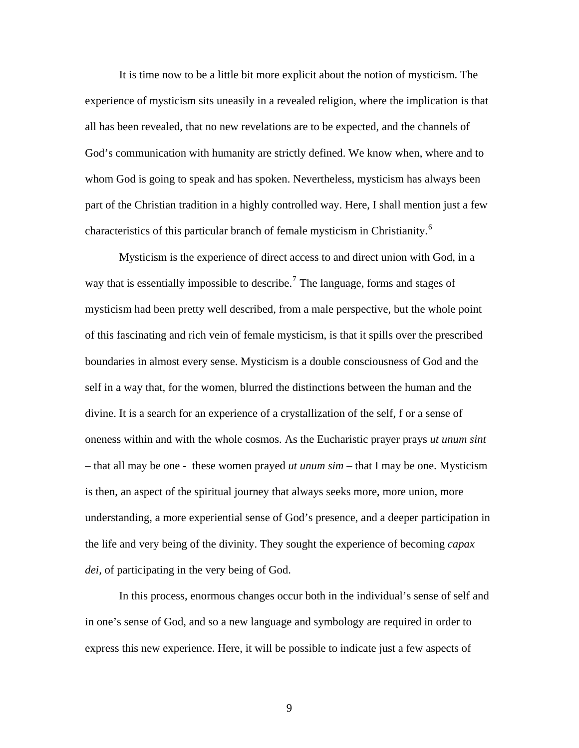It is time now to be a little bit more explicit about the notion of mysticism. The experience of mysticism sits uneasily in a revealed religion, where the implication is that all has been revealed, that no new revelations are to be expected, and the channels of God's communication with humanity are strictly defined. We know when, where and to whom God is going to speak and has spoken. Nevertheless, mysticism has always been part of the Christian tradition in a highly controlled way. Here, I shall mention just a few characteristics of this particular branch of female mysticism in Christianity.<sup>[6](#page-22-1)</sup>

 Mysticism is the experience of direct access to and direct union with God, in a way that is essentially impossible to describe.<sup>[7](#page-22-1)</sup> The language, forms and stages of mysticism had been pretty well described, from a male perspective, but the whole point of this fascinating and rich vein of female mysticism, is that it spills over the prescribed boundaries in almost every sense. Mysticism is a double consciousness of God and the self in a way that, for the women, blurred the distinctions between the human and the divine. It is a search for an experience of a crystallization of the self, f or a sense of oneness within and with the whole cosmos. As the Eucharistic prayer prays *ut unum sint –* that all may be one - these women prayed *ut unum sim* – that I may be one. Mysticism is then, an aspect of the spiritual journey that always seeks more, more union, more understanding, a more experiential sense of God's presence, and a deeper participation in the life and very being of the divinity. They sought the experience of becoming *capax dei,* of participating in the very being of God.

 In this process, enormous changes occur both in the individual's sense of self and in one's sense of God, and so a new language and symbology are required in order to express this new experience. Here, it will be possible to indicate just a few aspects of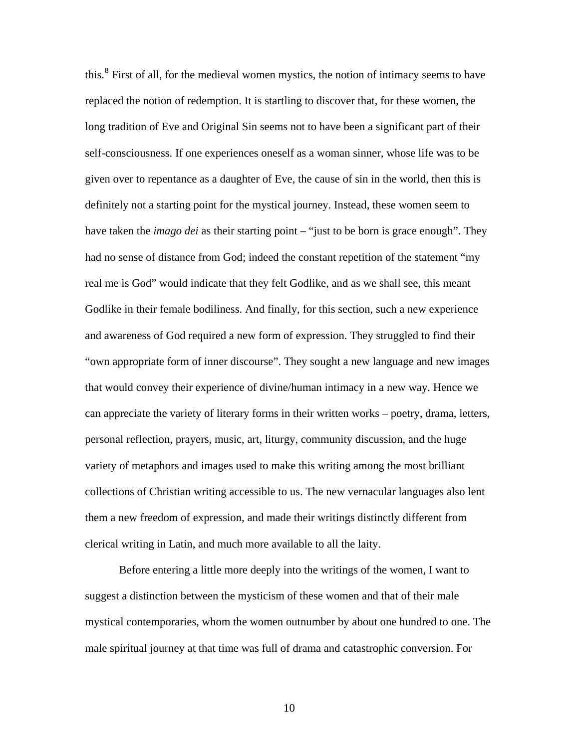this.<sup>[8](#page-22-1)</sup> First of all, for the medieval women mystics, the notion of intimacy seems to have replaced the notion of redemption. It is startling to discover that, for these women, the long tradition of Eve and Original Sin seems not to have been a significant part of their self-consciousness. If one experiences oneself as a woman sinner, whose life was to be given over to repentance as a daughter of Eve, the cause of sin in the world, then this is definitely not a starting point for the mystical journey. Instead, these women seem to have taken the *imago dei* as their starting point – "just to be born is grace enough". They had no sense of distance from God; indeed the constant repetition of the statement "my real me is God" would indicate that they felt Godlike, and as we shall see, this meant Godlike in their female bodiliness. And finally, for this section, such a new experience and awareness of God required a new form of expression. They struggled to find their "own appropriate form of inner discourse". They sought a new language and new images that would convey their experience of divine/human intimacy in a new way. Hence we can appreciate the variety of literary forms in their written works – poetry, drama, letters, personal reflection, prayers, music, art, liturgy, community discussion, and the huge variety of metaphors and images used to make this writing among the most brilliant collections of Christian writing accessible to us. The new vernacular languages also lent them a new freedom of expression, and made their writings distinctly different from clerical writing in Latin, and much more available to all the laity.

 Before entering a little more deeply into the writings of the women, I want to suggest a distinction between the mysticism of these women and that of their male mystical contemporaries, whom the women outnumber by about one hundred to one. The male spiritual journey at that time was full of drama and catastrophic conversion. For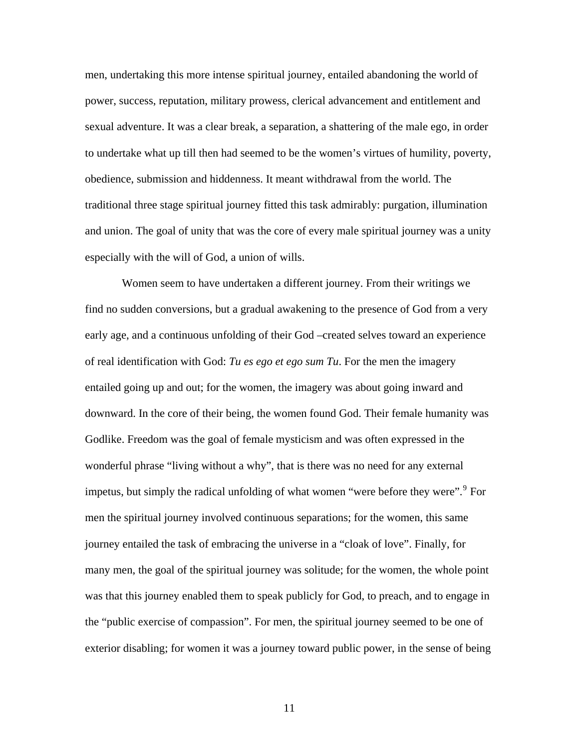men, undertaking this more intense spiritual journey, entailed abandoning the world of power, success, reputation, military prowess, clerical advancement and entitlement and sexual adventure. It was a clear break, a separation, a shattering of the male ego, in order to undertake what up till then had seemed to be the women's virtues of humility, poverty, obedience, submission and hiddenness. It meant withdrawal from the world. The traditional three stage spiritual journey fitted this task admirably: purgation, illumination and union. The goal of unity that was the core of every male spiritual journey was a unity especially with the will of God, a union of wills.

 Women seem to have undertaken a different journey. From their writings we find no sudden conversions, but a gradual awakening to the presence of God from a very early age, and a continuous unfolding of their God –created selves toward an experience of real identification with God: *Tu es ego et ego sum Tu*. For the men the imagery entailed going up and out; for the women, the imagery was about going inward and downward. In the core of their being, the women found God. Their female humanity was Godlike. Freedom was the goal of female mysticism and was often expressed in the wonderful phrase "living without a why", that is there was no need for any external impetus, but simply the radical unfolding of what women "were before they were".<sup>[9](#page-22-1)</sup> For men the spiritual journey involved continuous separations; for the women, this same journey entailed the task of embracing the universe in a "cloak of love". Finally, for many men, the goal of the spiritual journey was solitude; for the women, the whole point was that this journey enabled them to speak publicly for God, to preach, and to engage in the "public exercise of compassion". For men, the spiritual journey seemed to be one of exterior disabling; for women it was a journey toward public power, in the sense of being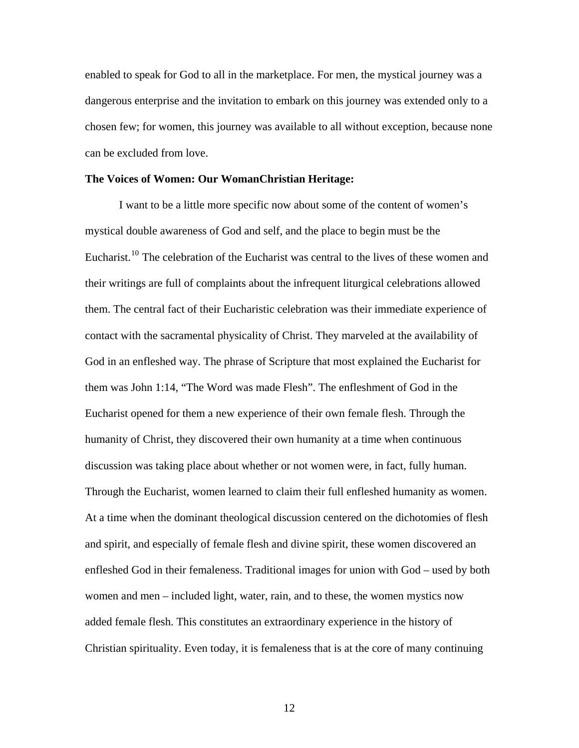enabled to speak for God to all in the marketplace. For men, the mystical journey was a dangerous enterprise and the invitation to embark on this journey was extended only to a chosen few; for women, this journey was available to all without exception, because none can be excluded from love.

#### **The Voices of Women: Our WomanChristian Heritage:**

I want to be a little more specific now about some of the content of women's mystical double awareness of God and self, and the place to begin must be the Eucharist.<sup>[10](#page-22-1)</sup> The celebration of the Eucharist was central to the lives of these women and their writings are full of complaints about the infrequent liturgical celebrations allowed them. The central fact of their Eucharistic celebration was their immediate experience of contact with the sacramental physicality of Christ. They marveled at the availability of God in an enfleshed way. The phrase of Scripture that most explained the Eucharist for them was John 1:14, "The Word was made Flesh". The enfleshment of God in the Eucharist opened for them a new experience of their own female flesh. Through the humanity of Christ, they discovered their own humanity at a time when continuous discussion was taking place about whether or not women were, in fact, fully human. Through the Eucharist, women learned to claim their full enfleshed humanity as women. At a time when the dominant theological discussion centered on the dichotomies of flesh and spirit, and especially of female flesh and divine spirit, these women discovered an enfleshed God in their femaleness. Traditional images for union with God – used by both women and men – included light, water, rain, and to these, the women mystics now added female flesh. This constitutes an extraordinary experience in the history of Christian spirituality. Even today, it is femaleness that is at the core of many continuing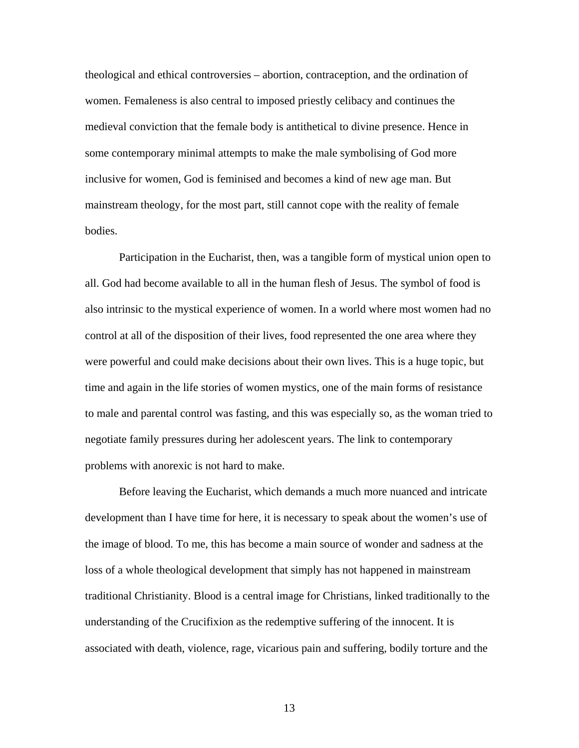theological and ethical controversies – abortion, contraception, and the ordination of women. Femaleness is also central to imposed priestly celibacy and continues the medieval conviction that the female body is antithetical to divine presence. Hence in some contemporary minimal attempts to make the male symbolising of God more inclusive for women, God is feminised and becomes a kind of new age man. But mainstream theology, for the most part, still cannot cope with the reality of female bodies.

 Participation in the Eucharist, then, was a tangible form of mystical union open to all. God had become available to all in the human flesh of Jesus. The symbol of food is also intrinsic to the mystical experience of women. In a world where most women had no control at all of the disposition of their lives, food represented the one area where they were powerful and could make decisions about their own lives. This is a huge topic, but time and again in the life stories of women mystics, one of the main forms of resistance to male and parental control was fasting, and this was especially so, as the woman tried to negotiate family pressures during her adolescent years. The link to contemporary problems with anorexic is not hard to make.

 Before leaving the Eucharist, which demands a much more nuanced and intricate development than I have time for here, it is necessary to speak about the women's use of the image of blood. To me, this has become a main source of wonder and sadness at the loss of a whole theological development that simply has not happened in mainstream traditional Christianity. Blood is a central image for Christians, linked traditionally to the understanding of the Crucifixion as the redemptive suffering of the innocent. It is associated with death, violence, rage, vicarious pain and suffering, bodily torture and the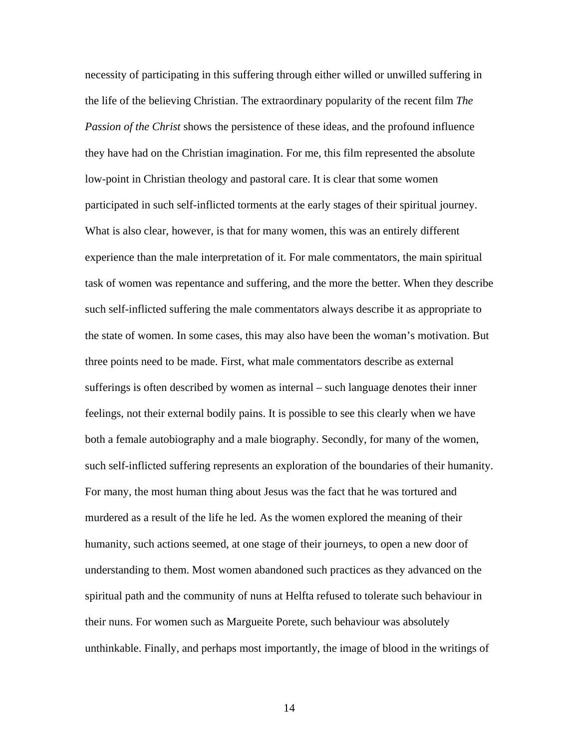necessity of participating in this suffering through either willed or unwilled suffering in the life of the believing Christian. The extraordinary popularity of the recent film *The Passion of the Christ* shows the persistence of these ideas, and the profound influence they have had on the Christian imagination. For me, this film represented the absolute low-point in Christian theology and pastoral care. It is clear that some women participated in such self-inflicted torments at the early stages of their spiritual journey. What is also clear, however, is that for many women, this was an entirely different experience than the male interpretation of it. For male commentators, the main spiritual task of women was repentance and suffering, and the more the better. When they describe such self-inflicted suffering the male commentators always describe it as appropriate to the state of women. In some cases, this may also have been the woman's motivation. But three points need to be made. First, what male commentators describe as external sufferings is often described by women as internal – such language denotes their inner feelings, not their external bodily pains. It is possible to see this clearly when we have both a female autobiography and a male biography. Secondly, for many of the women, such self-inflicted suffering represents an exploration of the boundaries of their humanity. For many, the most human thing about Jesus was the fact that he was tortured and murdered as a result of the life he led. As the women explored the meaning of their humanity, such actions seemed, at one stage of their journeys, to open a new door of understanding to them. Most women abandoned such practices as they advanced on the spiritual path and the community of nuns at Helfta refused to tolerate such behaviour in their nuns. For women such as Margueite Porete, such behaviour was absolutely unthinkable. Finally, and perhaps most importantly, the image of blood in the writings of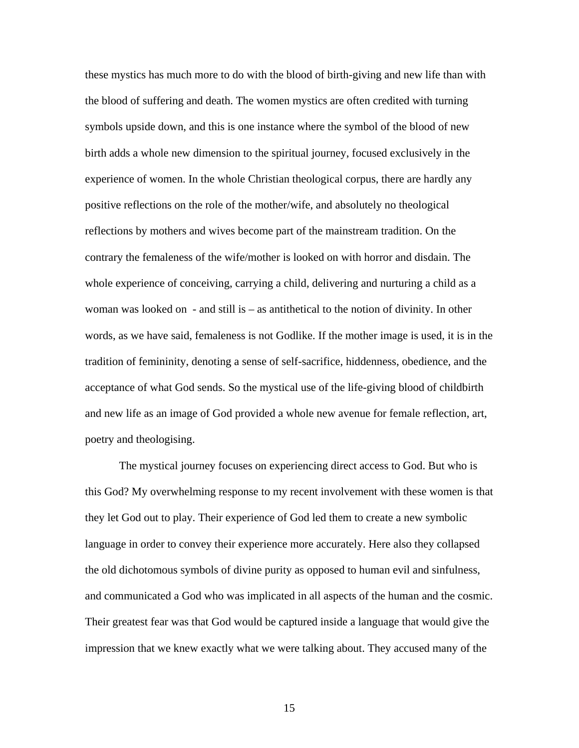these mystics has much more to do with the blood of birth-giving and new life than with the blood of suffering and death. The women mystics are often credited with turning symbols upside down, and this is one instance where the symbol of the blood of new birth adds a whole new dimension to the spiritual journey, focused exclusively in the experience of women. In the whole Christian theological corpus, there are hardly any positive reflections on the role of the mother/wife, and absolutely no theological reflections by mothers and wives become part of the mainstream tradition. On the contrary the femaleness of the wife/mother is looked on with horror and disdain. The whole experience of conceiving, carrying a child, delivering and nurturing a child as a woman was looked on - and still is – as antithetical to the notion of divinity. In other words, as we have said, femaleness is not Godlike. If the mother image is used, it is in the tradition of femininity, denoting a sense of self-sacrifice, hiddenness, obedience, and the acceptance of what God sends. So the mystical use of the life-giving blood of childbirth and new life as an image of God provided a whole new avenue for female reflection, art, poetry and theologising.

 The mystical journey focuses on experiencing direct access to God. But who is this God? My overwhelming response to my recent involvement with these women is that they let God out to play. Their experience of God led them to create a new symbolic language in order to convey their experience more accurately. Here also they collapsed the old dichotomous symbols of divine purity as opposed to human evil and sinfulness, and communicated a God who was implicated in all aspects of the human and the cosmic. Their greatest fear was that God would be captured inside a language that would give the impression that we knew exactly what we were talking about. They accused many of the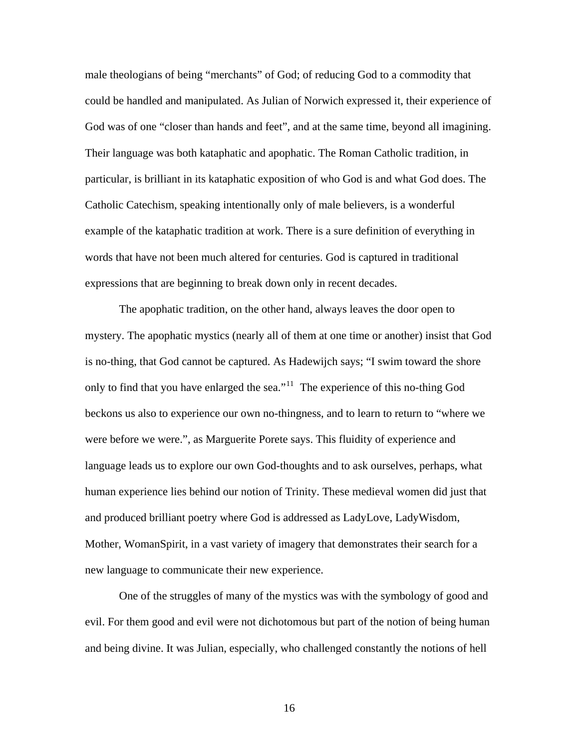male theologians of being "merchants" of God; of reducing God to a commodity that could be handled and manipulated. As Julian of Norwich expressed it, their experience of God was of one "closer than hands and feet", and at the same time, beyond all imagining. Their language was both kataphatic and apophatic. The Roman Catholic tradition, in particular, is brilliant in its kataphatic exposition of who God is and what God does. The Catholic Catechism, speaking intentionally only of male believers, is a wonderful example of the kataphatic tradition at work. There is a sure definition of everything in words that have not been much altered for centuries. God is captured in traditional expressions that are beginning to break down only in recent decades.

 The apophatic tradition, on the other hand, always leaves the door open to mystery. The apophatic mystics (nearly all of them at one time or another) insist that God is no-thing, that God cannot be captured. As Hadewijch says; "I swim toward the shore only to find that you have enlarged the sea."<sup>[11](#page-22-1)</sup> The experience of this no-thing God beckons us also to experience our own no-thingness, and to learn to return to "where we were before we were.", as Marguerite Porete says. This fluidity of experience and language leads us to explore our own God-thoughts and to ask ourselves, perhaps, what human experience lies behind our notion of Trinity. These medieval women did just that and produced brilliant poetry where God is addressed as LadyLove, LadyWisdom, Mother, WomanSpirit, in a vast variety of imagery that demonstrates their search for a new language to communicate their new experience.

 One of the struggles of many of the mystics was with the symbology of good and evil. For them good and evil were not dichotomous but part of the notion of being human and being divine. It was Julian, especially, who challenged constantly the notions of hell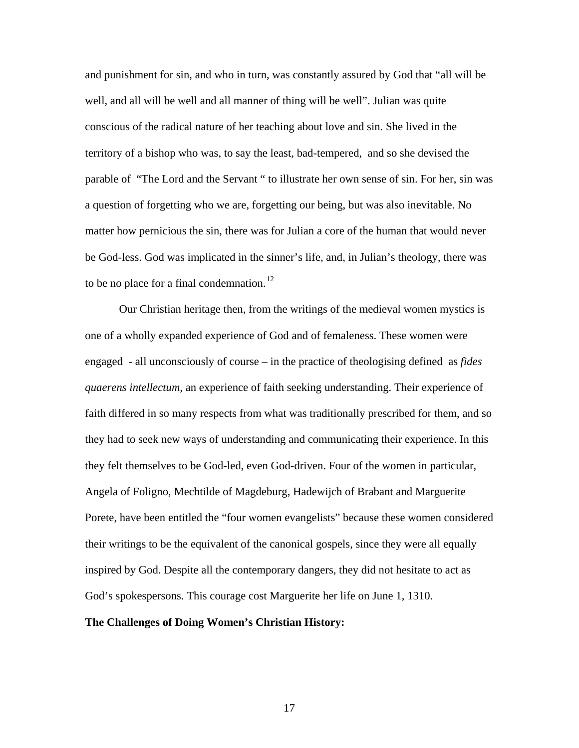and punishment for sin, and who in turn, was constantly assured by God that "all will be well, and all will be well and all manner of thing will be well". Julian was quite conscious of the radical nature of her teaching about love and sin. She lived in the territory of a bishop who was, to say the least, bad-tempered, and so she devised the parable of "The Lord and the Servant " to illustrate her own sense of sin. For her, sin was a question of forgetting who we are, forgetting our being, but was also inevitable. No matter how pernicious the sin, there was for Julian a core of the human that would never be God-less. God was implicated in the sinner's life, and, in Julian's theology, there was to be no place for a final condemnation.<sup>[12](#page-22-1)</sup>

 Our Christian heritage then, from the writings of the medieval women mystics is one of a wholly expanded experience of God and of femaleness. These women were engaged - all unconsciously of course – in the practice of theologising defined as *fides quaerens intellectum,* an experience of faith seeking understanding. Their experience of faith differed in so many respects from what was traditionally prescribed for them, and so they had to seek new ways of understanding and communicating their experience. In this they felt themselves to be God-led, even God-driven. Four of the women in particular, Angela of Foligno, Mechtilde of Magdeburg, Hadewijch of Brabant and Marguerite Porete, have been entitled the "four women evangelists" because these women considered their writings to be the equivalent of the canonical gospels, since they were all equally inspired by God. Despite all the contemporary dangers, they did not hesitate to act as God's spokespersons. This courage cost Marguerite her life on June 1, 1310.

# **The Challenges of Doing Women's Christian History:**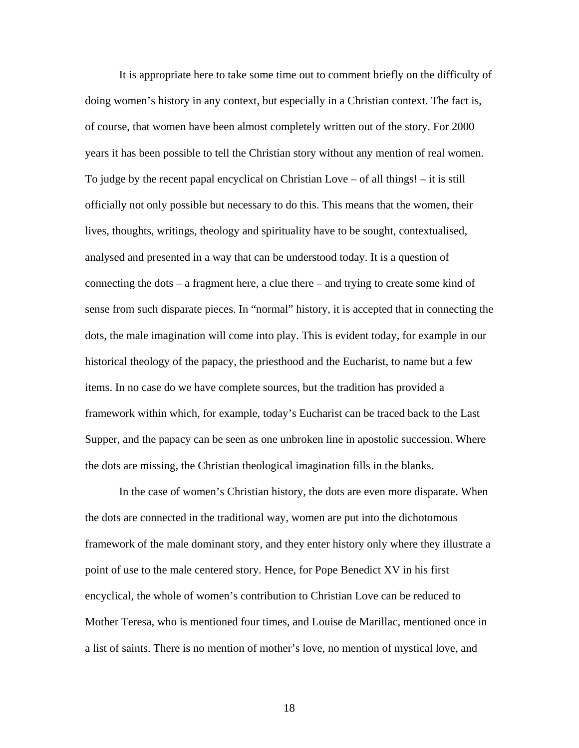It is appropriate here to take some time out to comment briefly on the difficulty of doing women's history in any context, but especially in a Christian context. The fact is, of course, that women have been almost completely written out of the story. For 2000 years it has been possible to tell the Christian story without any mention of real women. To judge by the recent papal encyclical on Christian Love – of all things! – it is still officially not only possible but necessary to do this. This means that the women, their lives, thoughts, writings, theology and spirituality have to be sought, contextualised, analysed and presented in a way that can be understood today. It is a question of connecting the dots – a fragment here, a clue there – and trying to create some kind of sense from such disparate pieces. In "normal" history, it is accepted that in connecting the dots, the male imagination will come into play. This is evident today, for example in our historical theology of the papacy, the priesthood and the Eucharist, to name but a few items. In no case do we have complete sources, but the tradition has provided a framework within which, for example, today's Eucharist can be traced back to the Last Supper, and the papacy can be seen as one unbroken line in apostolic succession. Where the dots are missing, the Christian theological imagination fills in the blanks.

 In the case of women's Christian history, the dots are even more disparate. When the dots are connected in the traditional way, women are put into the dichotomous framework of the male dominant story, and they enter history only where they illustrate a point of use to the male centered story. Hence, for Pope Benedict XV in his first encyclical, the whole of women's contribution to Christian Love can be reduced to Mother Teresa, who is mentioned four times, and Louise de Marillac, mentioned once in a list of saints. There is no mention of mother's love, no mention of mystical love, and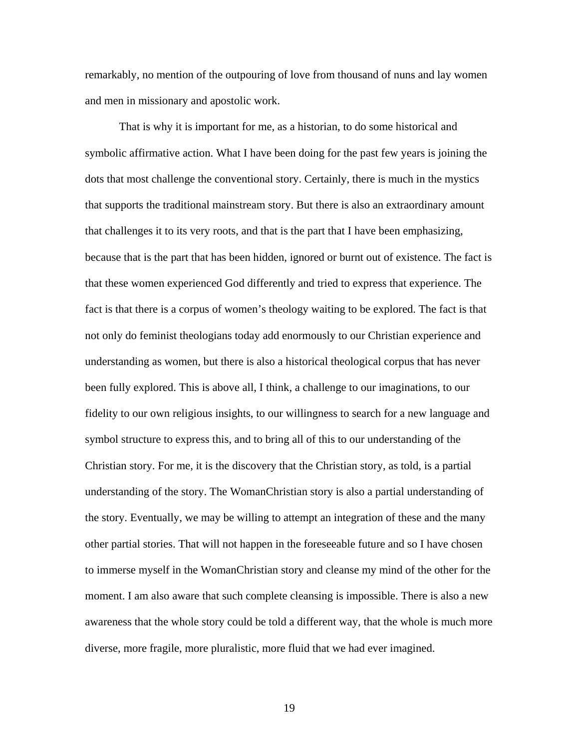remarkably, no mention of the outpouring of love from thousand of nuns and lay women and men in missionary and apostolic work.

 That is why it is important for me, as a historian, to do some historical and symbolic affirmative action. What I have been doing for the past few years is joining the dots that most challenge the conventional story. Certainly, there is much in the mystics that supports the traditional mainstream story. But there is also an extraordinary amount that challenges it to its very roots, and that is the part that I have been emphasizing, because that is the part that has been hidden, ignored or burnt out of existence. The fact is that these women experienced God differently and tried to express that experience. The fact is that there is a corpus of women's theology waiting to be explored. The fact is that not only do feminist theologians today add enormously to our Christian experience and understanding as women, but there is also a historical theological corpus that has never been fully explored. This is above all, I think, a challenge to our imaginations, to our fidelity to our own religious insights, to our willingness to search for a new language and symbol structure to express this, and to bring all of this to our understanding of the Christian story. For me, it is the discovery that the Christian story, as told, is a partial understanding of the story. The WomanChristian story is also a partial understanding of the story. Eventually, we may be willing to attempt an integration of these and the many other partial stories. That will not happen in the foreseeable future and so I have chosen to immerse myself in the WomanChristian story and cleanse my mind of the other for the moment. I am also aware that such complete cleansing is impossible. There is also a new awareness that the whole story could be told a different way, that the whole is much more diverse, more fragile, more pluralistic, more fluid that we had ever imagined.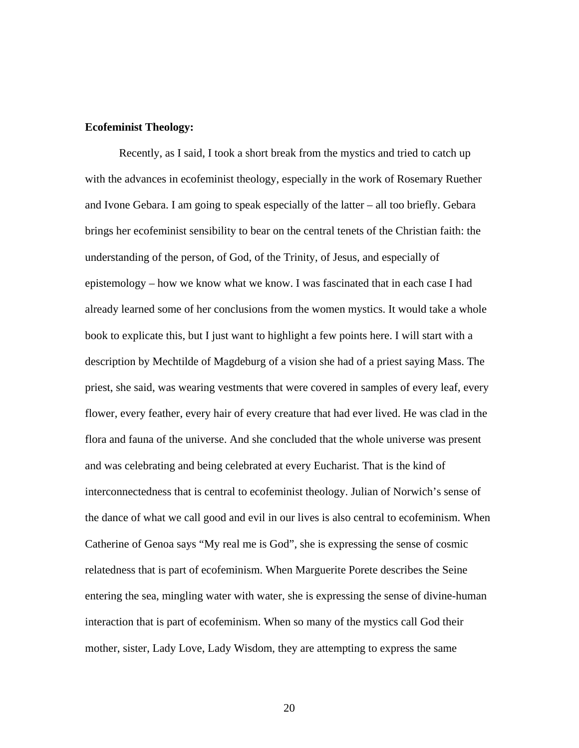## **Ecofeminist Theology:**

Recently, as I said, I took a short break from the mystics and tried to catch up with the advances in ecofeminist theology, especially in the work of Rosemary Ruether and Ivone Gebara. I am going to speak especially of the latter – all too briefly. Gebara brings her ecofeminist sensibility to bear on the central tenets of the Christian faith: the understanding of the person, of God, of the Trinity, of Jesus, and especially of epistemology – how we know what we know. I was fascinated that in each case I had already learned some of her conclusions from the women mystics. It would take a whole book to explicate this, but I just want to highlight a few points here. I will start with a description by Mechtilde of Magdeburg of a vision she had of a priest saying Mass. The priest, she said, was wearing vestments that were covered in samples of every leaf, every flower, every feather, every hair of every creature that had ever lived. He was clad in the flora and fauna of the universe. And she concluded that the whole universe was present and was celebrating and being celebrated at every Eucharist. That is the kind of interconnectedness that is central to ecofeminist theology. Julian of Norwich's sense of the dance of what we call good and evil in our lives is also central to ecofeminism. When Catherine of Genoa says "My real me is God", she is expressing the sense of cosmic relatedness that is part of ecofeminism. When Marguerite Porete describes the Seine entering the sea, mingling water with water, she is expressing the sense of divine-human interaction that is part of ecofeminism. When so many of the mystics call God their mother, sister, Lady Love, Lady Wisdom, they are attempting to express the same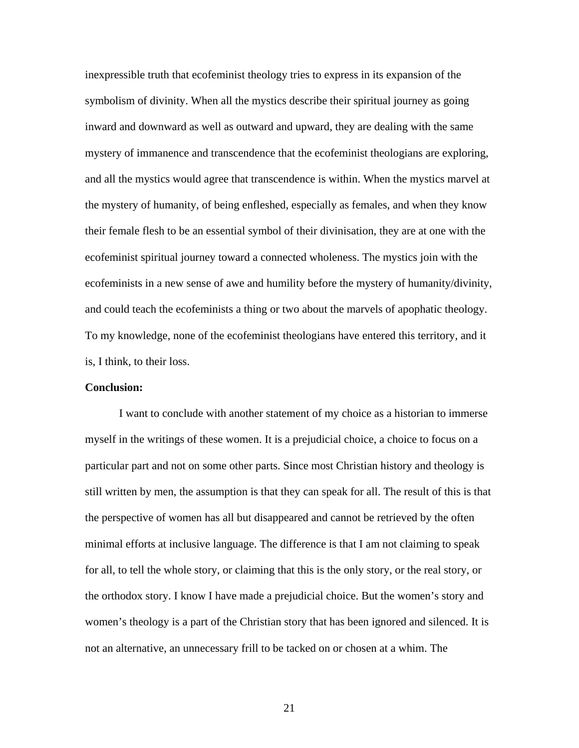inexpressible truth that ecofeminist theology tries to express in its expansion of the symbolism of divinity. When all the mystics describe their spiritual journey as going inward and downward as well as outward and upward, they are dealing with the same mystery of immanence and transcendence that the ecofeminist theologians are exploring, and all the mystics would agree that transcendence is within. When the mystics marvel at the mystery of humanity, of being enfleshed, especially as females, and when they know their female flesh to be an essential symbol of their divinisation, they are at one with the ecofeminist spiritual journey toward a connected wholeness. The mystics join with the ecofeminists in a new sense of awe and humility before the mystery of humanity/divinity, and could teach the ecofeminists a thing or two about the marvels of apophatic theology. To my knowledge, none of the ecofeminist theologians have entered this territory, and it is, I think, to their loss.

## **Conclusion:**

I want to conclude with another statement of my choice as a historian to immerse myself in the writings of these women. It is a prejudicial choice, a choice to focus on a particular part and not on some other parts. Since most Christian history and theology is still written by men, the assumption is that they can speak for all. The result of this is that the perspective of women has all but disappeared and cannot be retrieved by the often minimal efforts at inclusive language. The difference is that I am not claiming to speak for all, to tell the whole story, or claiming that this is the only story, or the real story, or the orthodox story. I know I have made a prejudicial choice. But the women's story and women's theology is a part of the Christian story that has been ignored and silenced. It is not an alternative, an unnecessary frill to be tacked on or chosen at a whim. The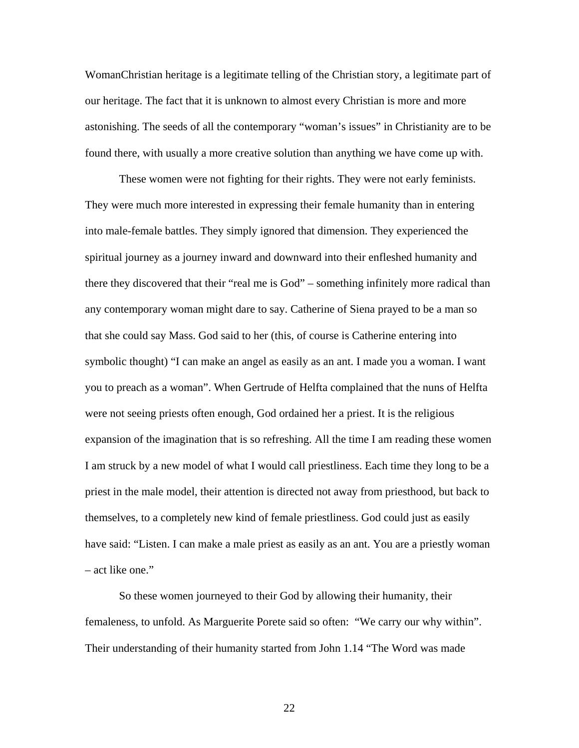WomanChristian heritage is a legitimate telling of the Christian story, a legitimate part of our heritage. The fact that it is unknown to almost every Christian is more and more astonishing. The seeds of all the contemporary "woman's issues" in Christianity are to be found there, with usually a more creative solution than anything we have come up with.

 These women were not fighting for their rights. They were not early feminists. They were much more interested in expressing their female humanity than in entering into male-female battles. They simply ignored that dimension. They experienced the spiritual journey as a journey inward and downward into their enfleshed humanity and there they discovered that their "real me is God" – something infinitely more radical than any contemporary woman might dare to say. Catherine of Siena prayed to be a man so that she could say Mass. God said to her (this, of course is Catherine entering into symbolic thought) "I can make an angel as easily as an ant. I made you a woman. I want you to preach as a woman". When Gertrude of Helfta complained that the nuns of Helfta were not seeing priests often enough, God ordained her a priest. It is the religious expansion of the imagination that is so refreshing. All the time I am reading these women I am struck by a new model of what I would call priestliness. Each time they long to be a priest in the male model, their attention is directed not away from priesthood, but back to themselves, to a completely new kind of female priestliness. God could just as easily have said: "Listen. I can make a male priest as easily as an ant. You are a priestly woman – act like one."

 So these women journeyed to their God by allowing their humanity, their femaleness, to unfold. As Marguerite Porete said so often: "We carry our why within". Their understanding of their humanity started from John 1.14 "The Word was made